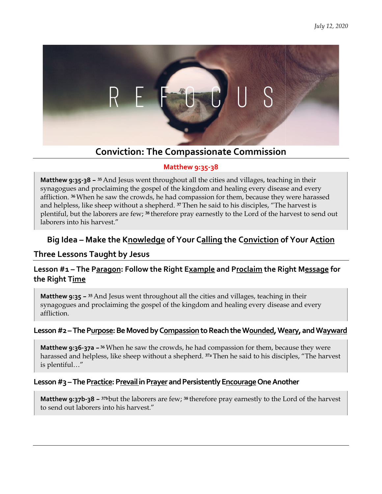

# **Conviction: The Compassionate Commission**

#### **Matthew 9:35-38**

**Matthew 9:35-38 – <sup>35</sup>**And Jesus went throughout all the cities and villages, teaching in their synagogues and proclaiming the gospel of the kingdom and healing every disease and every affliction. **<sup>36</sup>**When he saw the crowds, he had compassion for them, because they were harassed and helpless, like sheep without a shepherd. <sup>37</sup> Then he said to his disciples, "The harvest is plentiful, but the laborers are few; **<sup>38</sup>**therefore pray earnestly to the Lord of the harvest to send out laborers into his harvest." **95-38 – <sup>35</sup>** And Jesus went throughout all the cities and villages, teaching in their and proclaiming the gospel of the kingdom and healing every disease and ever When he saw the crowds, he had compassion for them, becau

# Big Idea – Make the K<u>nowledge</u> of Your C<u>alling</u> the C<u>onviction</u> of Your A<u>ction</u>

### **Three Lessons Taught by Jesus Taught by**

#### **Lesson #1 – The Paragon: Follow the Right E Follow Right Example and Proclaim the Right M Message for the Right Time**

**Matthew 9:35 - <sup>35</sup> And Jesus went throughout all the cities and villages, teaching in their** synagogues and proclaiming the gospel of the kingdom and healing every disease and every affliction.

#### Lesson #2 – The P<u>urpose</u>: Be Moved by C<u>ompassion</u> to Reach the W<u>ounded</u>, W<u>eary</u>, and W<u>ayward</u>

**Matthew 9:36-37a - <sup>36</sup> When he saw the crowds, he had compassion for them, because they were** harassed and helpless, like sheep without a shepherd. <sup>37a</sup> Then he said to his disciples, "The harvest is plentiful…"

#### Lesson #3 – The P<u>ractice</u>: P<u>revail in Prayer</u> and Persistently E<u>ncourage</u> One Another

**Matthew 9:37b-38 – 37b**but the laborers are few; **<sup>38</sup>**therefore pray earnestly to the Lord of the harvest to send out laborers into his harvest."